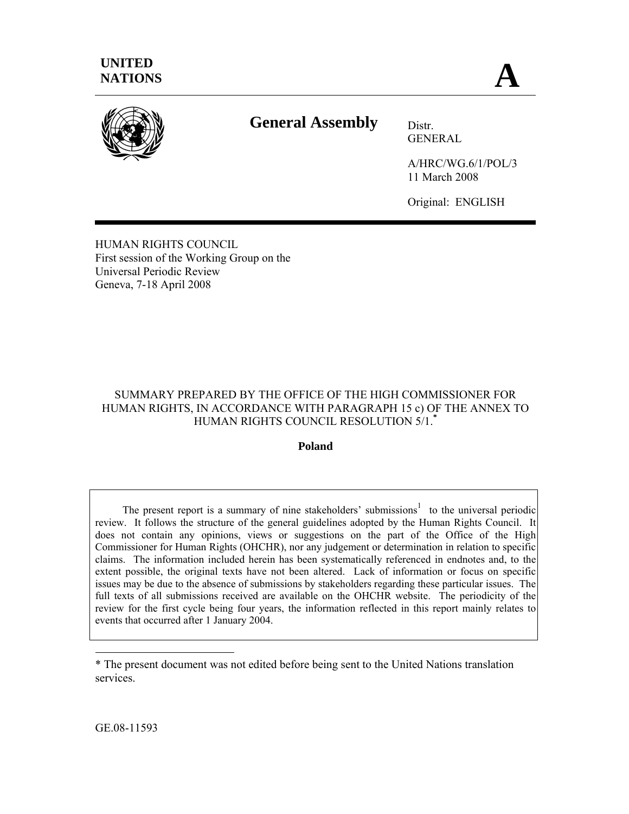

# **General Assembly** Distr.

GENERAL

A/HRC/WG.6/1/POL/3 11 March 2008

Original: ENGLISH

HUMAN RIGHTS COUNCIL First session of the Working Group on the Universal Periodic Review Geneva, 7-18 April 2008

# SUMMARY PREPARED BY THE OFFICE OF THE HIGH COMMISSIONER FOR HUMAN RIGHTS, IN ACCORDANCE WITH PARAGRAPH 15 c) OF THE ANNEX TO HUMAN RIGHTS COUNCIL RESOLUTION 5/1.**\***

# **Poland**

The present report is a summary of nine stakeholders' submissions<sup>1</sup> to the universal periodic review. It follows the structure of the general guidelines adopted by the Human Rights Council. It does not contain any opinions, views or suggestions on the part of the Office of the High Commissioner for Human Rights (OHCHR), nor any judgement or determination in relation to specific claims. The information included herein has been systematically referenced in endnotes and, to the extent possible, the original texts have not been altered. Lack of information or focus on specific issues may be due to the absence of submissions by stakeholders regarding these particular issues. The full texts of all submissions received are available on the OHCHR website. The periodicity of the review for the first cycle being four years, the information reflected in this report mainly relates to events that occurred after 1 January 2004.

GE.08-11593

 $\overline{a}$ 

<sup>\*</sup> The present document was not edited before being sent to the United Nations translation services.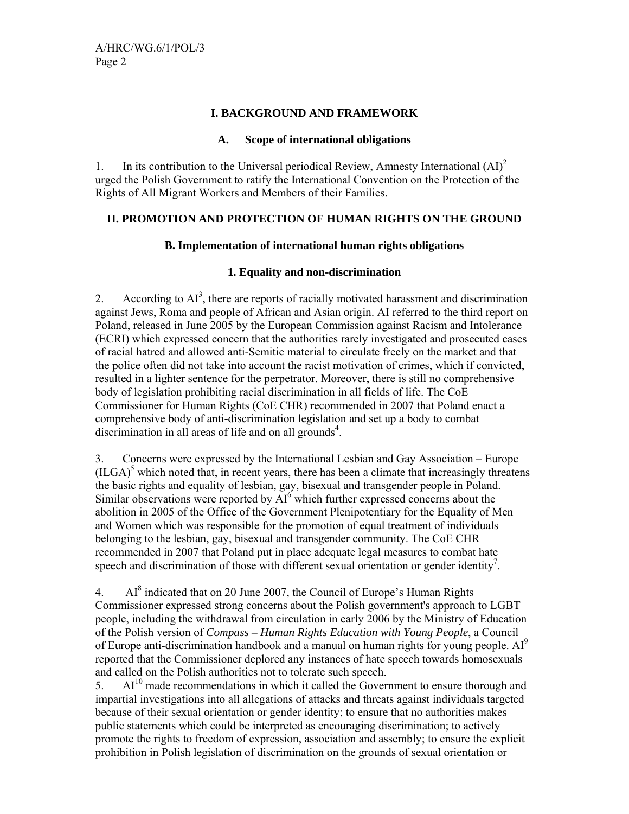## **I. BACKGROUND AND FRAMEWORK**

#### **A. Scope of international obligations**

1. In its contribution to the Universal periodical Review, Amnesty International  $(AI)^2$ urged the Polish Government to ratify the International Convention on the Protection of the Rights of All Migrant Workers and Members of their Families.

## **II. PROMOTION AND PROTECTION OF HUMAN RIGHTS ON THE GROUND**

## **B. Implementation of international human rights obligations**

## **1. Equality and non-discrimination**

2. According to  $AI<sup>3</sup>$ , there are reports of racially motivated harassment and discrimination against Jews, Roma and people of African and Asian origin. AI referred to the third report on Poland, released in June 2005 by the European Commission against Racism and Intolerance (ECRI) which expressed concern that the authorities rarely investigated and prosecuted cases of racial hatred and allowed anti-Semitic material to circulate freely on the market and that the police often did not take into account the racist motivation of crimes, which if convicted, resulted in a lighter sentence for the perpetrator. Moreover, there is still no comprehensive body of legislation prohibiting racial discrimination in all fields of life. The CoE Commissioner for Human Rights (CoE CHR) recommended in 2007 that Poland enact a comprehensive body of anti-discrimination legislation and set up a body to combat discrimination in all areas of life and on all grounds<sup>4</sup>.

3. Concerns were expressed by the International Lesbian and Gay Association – Europe  $(ILGA)^5$  which noted that, in recent years, there has been a climate that increasingly threatens the basic rights and equality of lesbian, gay, bisexual and transgender people in Poland. Similar observations were reported by  $AI<sup>6</sup>$  which further expressed concerns about the abolition in 2005 of the Office of the Government Plenipotentiary for the Equality of Men and Women which was responsible for the promotion of equal treatment of individuals belonging to the lesbian, gay, bisexual and transgender community. The CoE CHR recommended in 2007 that Poland put in place adequate legal measures to combat hate speech and discrimination of those with different sexual orientation or gender identity<sup>7</sup>.

4. Al<sup>8</sup> indicated that on 20 June 2007, the Council of Europe's Human Rights Commissioner expressed strong concerns about the Polish government's approach to LGBT people, including the withdrawal from circulation in early 2006 by the Ministry of Education of the Polish version of *Compass – Human Rights Education with Young People*, a Council of Europe anti-discrimination handbook and a manual on human rights for young people. AI<sup>9</sup> reported that the Commissioner deplored any instances of hate speech towards homosexuals and called on the Polish authorities not to tolerate such speech.

 $5.$  AI<sup>10</sup> made recommendations in which it called the Government to ensure thorough and impartial investigations into all allegations of attacks and threats against individuals targeted because of their sexual orientation or gender identity; to ensure that no authorities makes public statements which could be interpreted as encouraging discrimination; to actively promote the rights to freedom of expression, association and assembly; to ensure the explicit prohibition in Polish legislation of discrimination on the grounds of sexual orientation or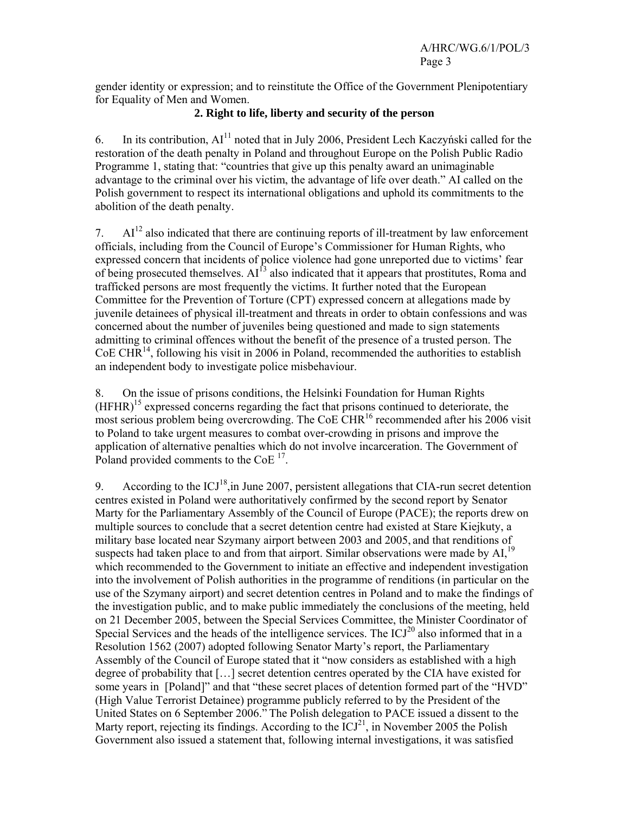gender identity or expression; and to reinstitute the Office of the Government Plenipotentiary for Equality of Men and Women.

# **2. Right to life, liberty and security of the person**

6. In its contribution,  $AI<sup>11</sup>$  noted that in July 2006, President Lech Kaczyński called for the restoration of the death penalty in Poland and throughout Europe on the Polish Public Radio Programme 1, stating that: "countries that give up this penalty award an unimaginable advantage to the criminal over his victim, the advantage of life over death." AI called on the Polish government to respect its international obligations and uphold its commitments to the abolition of the death penalty.

7.  $\mathbf{Al}^{12}$  also indicated that there are continuing reports of ill-treatment by law enforcement officials, including from the Council of Europe's Commissioner for Human Rights, who expressed concern that incidents of police violence had gone unreported due to victims' fear of being prosecuted themselves.  $AI^{13}$  also indicated that it appears that prostitutes, Roma and trafficked persons are most frequently the victims. It further noted that the European Committee for the Prevention of Torture (CPT) expressed concern at allegations made by juvenile detainees of physical ill-treatment and threats in order to obtain confessions and was concerned about the number of juveniles being questioned and made to sign statements admitting to criminal offences without the benefit of the presence of a trusted person. The  $CoE CHR<sup>14</sup>$ , following his visit in 2006 in Poland, recommended the authorities to establish an independent body to investigate police misbehaviour.

8. On the issue of prisons conditions, the Helsinki Foundation for Human Rights  $(HFHR)^{15}$  expressed concerns regarding the fact that prisons continued to deteriorate, the most serious problem being overcrowding. The CoE CHR<sup>16</sup> recommended after his 2006 visit to Poland to take urgent measures to combat over-crowding in prisons and improve the application of alternative penalties which do not involve incarceration. The Government of Poland provided comments to the CoE<sup>17</sup>.

9. According to the  $\text{ICJ}^{18}$ , in June 2007, persistent allegations that CIA-run secret detention centres existed in Poland were authoritatively confirmed by the second report by Senator Marty for the Parliamentary Assembly of the Council of Europe (PACE); the reports drew on multiple sources to conclude that a secret detention centre had existed at Stare Kiejkuty, a military base located near Szymany airport between 2003 and 2005, and that renditions of suspects had taken place to and from that airport. Similar observations were made by  $AI$ ,  $19$ which recommended to the Government to initiate an effective and independent investigation into the involvement of Polish authorities in the programme of renditions (in particular on the use of the Szymany airport) and secret detention centres in Poland and to make the findings of the investigation public, and to make public immediately the conclusions of the meeting, held on 21 December 2005, between the Special Services Committee, the Minister Coordinator of Special Services and the heads of the intelligence services. The  $\mathrm{ICJ}^{20}$  also informed that in a Resolution 1562 (2007) adopted following Senator Marty's report, the Parliamentary Assembly of the Council of Europe stated that it "now considers as established with a high degree of probability that […] secret detention centres operated by the CIA have existed for some years in [Poland]" and that "these secret places of detention formed part of the "HVD" (High Value Terrorist Detainee) programme publicly referred to by the President of the United States on 6 September 2006." The Polish delegation to PACE issued a dissent to the Marty report, rejecting its findings. According to the  $\text{ICJ}^{21}$ , in November 2005 the Polish Government also issued a statement that, following internal investigations, it was satisfied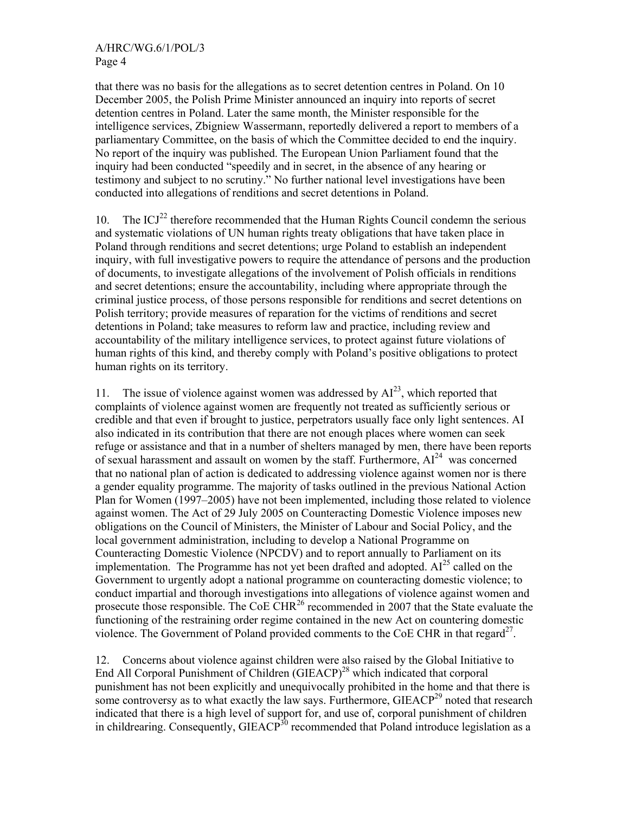## A/HRC/WG.6/1/POL/3 Page 4

that there was no basis for the allegations as to secret detention centres in Poland. On 10 December 2005, the Polish Prime Minister announced an inquiry into reports of secret detention centres in Poland. Later the same month, the Minister responsible for the intelligence services, Zbigniew Wassermann, reportedly delivered a report to members of a parliamentary Committee, on the basis of which the Committee decided to end the inquiry. No report of the inquiry was published. The European Union Parliament found that the inquiry had been conducted "speedily and in secret, in the absence of any hearing or testimony and subject to no scrutiny." No further national level investigations have been conducted into allegations of renditions and secret detentions in Poland.

10. The  $\text{ICJ}^{22}$  therefore recommended that the Human Rights Council condemn the serious and systematic violations of UN human rights treaty obligations that have taken place in Poland through renditions and secret detentions; urge Poland to establish an independent inquiry, with full investigative powers to require the attendance of persons and the production of documents, to investigate allegations of the involvement of Polish officials in renditions and secret detentions; ensure the accountability, including where appropriate through the criminal justice process, of those persons responsible for renditions and secret detentions on Polish territory; provide measures of reparation for the victims of renditions and secret detentions in Poland; take measures to reform law and practice, including review and accountability of the military intelligence services, to protect against future violations of human rights of this kind, and thereby comply with Poland's positive obligations to protect human rights on its territory.

11. The issue of violence against women was addressed by  $AI^{23}$ , which reported that complaints of violence against women are frequently not treated as sufficiently serious or credible and that even if brought to justice, perpetrators usually face only light sentences. AI also indicated in its contribution that there are not enough places where women can seek refuge or assistance and that in a number of shelters managed by men, there have been reports of sexual harassment and assault on women by the staff. Furthermore,  $Al<sup>24</sup>$  was concerned that no national plan of action is dedicated to addressing violence against women nor is there a gender equality programme. The majority of tasks outlined in the previous National Action Plan for Women (1997–2005) have not been implemented, including those related to violence against women. The Act of 29 July 2005 on Counteracting Domestic Violence imposes new obligations on the Council of Ministers, the Minister of Labour and Social Policy, and the local government administration, including to develop a National Programme on Counteracting Domestic Violence (NPCDV) and to report annually to Parliament on its implementation. The Programme has not yet been drafted and adopted.  $AI<sup>25</sup>$  called on the Government to urgently adopt a national programme on counteracting domestic violence; to conduct impartial and thorough investigations into allegations of violence against women and prosecute those responsible. The CoE CHR<sup>26</sup> recommended in 2007 that the State evaluate the functioning of the restraining order regime contained in the new Act on countering domestic violence. The Government of Poland provided comments to the CoE CHR in that regard<sup>27</sup>.

12. Concerns about violence against children were also raised by the Global Initiative to End All Corporal Punishment of Children (GIEACP)<sup>28</sup> which indicated that corporal punishment has not been explicitly and unequivocally prohibited in the home and that there is some controversy as to what exactly the law says. Furthermore,  $GIEACP<sup>29</sup>$  noted that research indicated that there is a high level of support for, and use of, corporal punishment of children in childrearing. Consequently, GIEACP<sup>30</sup> recommended that Poland introduce legislation as a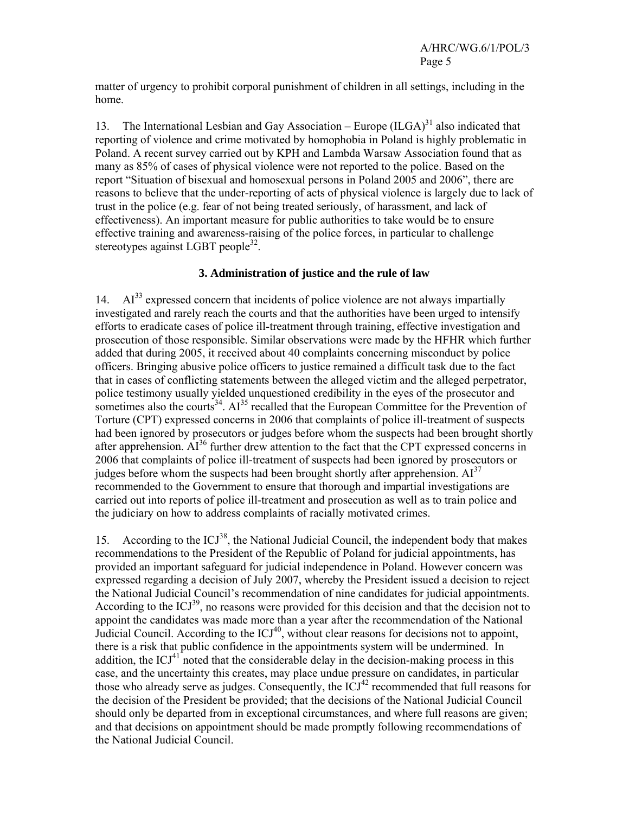matter of urgency to prohibit corporal punishment of children in all settings, including in the home.

13. The International Lesbian and Gay Association – Europe  $(ILGA)^{31}$  also indicated that reporting of violence and crime motivated by homophobia in Poland is highly problematic in Poland. A recent survey carried out by KPH and Lambda Warsaw Association found that as many as 85% of cases of physical violence were not reported to the police. Based on the report "Situation of bisexual and homosexual persons in Poland 2005 and 2006", there are reasons to believe that the under-reporting of acts of physical violence is largely due to lack of trust in the police (e.g. fear of not being treated seriously, of harassment, and lack of effectiveness). An important measure for public authorities to take would be to ensure effective training and awareness-raising of the police forces, in particular to challenge stereotypes against LGBT people<sup>32</sup>.

#### **3. Administration of justice and the rule of law**

 $14.$  AI<sup>33</sup> expressed concern that incidents of police violence are not always impartially investigated and rarely reach the courts and that the authorities have been urged to intensify efforts to eradicate cases of police ill-treatment through training, effective investigation and prosecution of those responsible. Similar observations were made by the HFHR which further added that during 2005, it received about 40 complaints concerning misconduct by police officers. Bringing abusive police officers to justice remained a difficult task due to the fact that in cases of conflicting statements between the alleged victim and the alleged perpetrator, police testimony usually yielded unquestioned credibility in the eyes of the prosecutor and sometimes also the courts<sup>34</sup>.  $AI^{35}$  recalled that the European Committee for the Prevention of Torture (CPT) expressed concerns in 2006 that complaints of police ill-treatment of suspects had been ignored by prosecutors or judges before whom the suspects had been brought shortly after apprehension. AI<sup>36</sup> further drew attention to the fact that the CPT expressed concerns in 2006 that complaints of police ill-treatment of suspects had been ignored by prosecutors or judges before whom the suspects had been brought shortly after apprehension.  $AI<sup>37</sup>$ recommended to the Government to ensure that thorough and impartial investigations are carried out into reports of police ill-treatment and prosecution as well as to train police and the judiciary on how to address complaints of racially motivated crimes.

15. According to the  $\text{ICJ}^{38}$ , the National Judicial Council, the independent body that makes recommendations to the President of the Republic of Poland for judicial appointments, has provided an important safeguard for judicial independence in Poland. However concern was expressed regarding a decision of July 2007, whereby the President issued a decision to reject the National Judicial Council's recommendation of nine candidates for judicial appointments. According to the  $\text{ICJ}^{39}$ , no reasons were provided for this decision and that the decision not to appoint the candidates was made more than a year after the recommendation of the National Judicial Council. According to the  $\text{ICJ}^{40}$ , without clear reasons for decisions not to appoint, there is a risk that public confidence in the appointments system will be undermined. In addition, the ICJ $^{41}$  noted that the considerable delay in the decision-making process in this case, and the uncertainty this creates, may place undue pressure on candidates, in particular those who already serve as judges. Consequently, the  $\text{ICJ}^{42}$  recommended that full reasons for the decision of the President be provided; that the decisions of the National Judicial Council should only be departed from in exceptional circumstances, and where full reasons are given; and that decisions on appointment should be made promptly following recommendations of the National Judicial Council.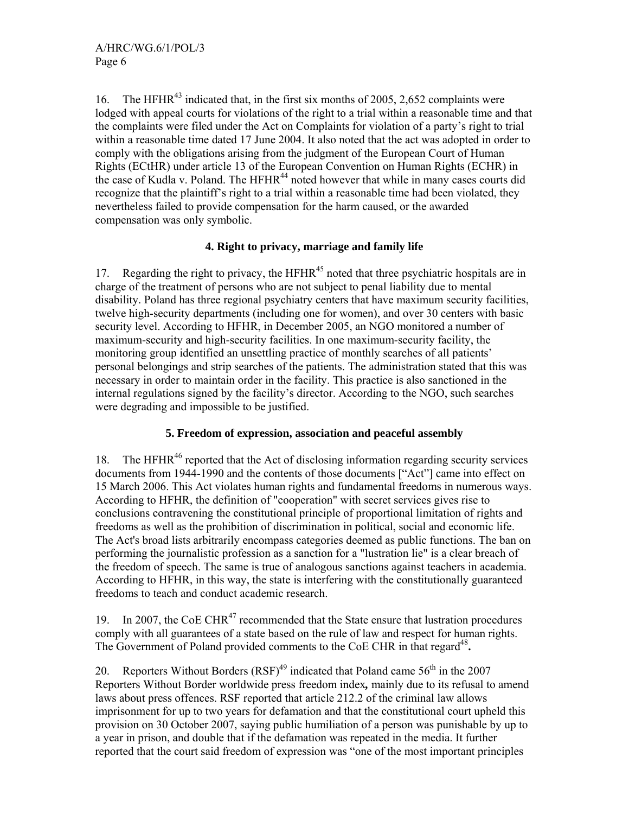16. The HFHR<sup>43</sup> indicated that, in the first six months of 2005, 2,652 complaints were lodged with appeal courts for violations of the right to a trial within a reasonable time and that the complaints were filed under the Act on Complaints for violation of a party's right to trial within a reasonable time dated 17 June 2004. It also noted that the act was adopted in order to comply with the obligations arising from the judgment of the European Court of Human Rights (ECtHR) under article 13 of the European Convention on Human Rights (ECHR) in the case of Kudla v. Poland. The HFHR<sup>44</sup> noted however that while in many cases courts did recognize that the plaintiff's right to a trial within a reasonable time had been violated, they nevertheless failed to provide compensation for the harm caused, or the awarded compensation was only symbolic.

# **4. Right to privacy, marriage and family life**

17. Regarding the right to privacy, the  $HFHR<sup>45</sup>$  noted that three psychiatric hospitals are in charge of the treatment of persons who are not subject to penal liability due to mental disability. Poland has three regional psychiatry centers that have maximum security facilities, twelve high-security departments (including one for women), and over 30 centers with basic security level. According to HFHR, in December 2005, an NGO monitored a number of maximum-security and high-security facilities. In one maximum-security facility, the monitoring group identified an unsettling practice of monthly searches of all patients' personal belongings and strip searches of the patients. The administration stated that this was necessary in order to maintain order in the facility. This practice is also sanctioned in the internal regulations signed by the facility's director. According to the NGO, such searches were degrading and impossible to be justified.

# **5. Freedom of expression, association and peaceful assembly**

18. The HFHR<sup>46</sup> reported that the Act of disclosing information regarding security services documents from 1944-1990 and the contents of those documents ["Act"] came into effect on 15 March 2006. This Act violates human rights and fundamental freedoms in numerous ways. According to HFHR, the definition of "cooperation" with secret services gives rise to conclusions contravening the constitutional principle of proportional limitation of rights and freedoms as well as the prohibition of discrimination in political, social and economic life. The Act's broad lists arbitrarily encompass categories deemed as public functions. The ban on performing the journalistic profession as a sanction for a "lustration lie" is a clear breach of the freedom of speech. The same is true of analogous sanctions against teachers in academia. According to HFHR, in this way, the state is interfering with the constitutionally guaranteed freedoms to teach and conduct academic research.

19. In 2007, the CoE CHR<sup>47</sup> recommended that the State ensure that lustration procedures comply with all guarantees of a state based on the rule of law and respect for human rights. The Government of Poland provided comments to the CoE CHR in that regard<sup>48</sup>.

20. Reporters Without Borders  $(RSF)^{49}$  indicated that Poland came  $56<sup>th</sup>$  in the 2007 Reporters Without Border worldwide press freedom index*,* mainly due to its refusal to amend laws about press offences. RSF reported that article 212.2 of the criminal law allows imprisonment for up to two years for defamation and that the constitutional court upheld this provision on 30 October 2007, saying public humiliation of a person was punishable by up to a year in prison, and double that if the defamation was repeated in the media. It further reported that the court said freedom of expression was "one of the most important principles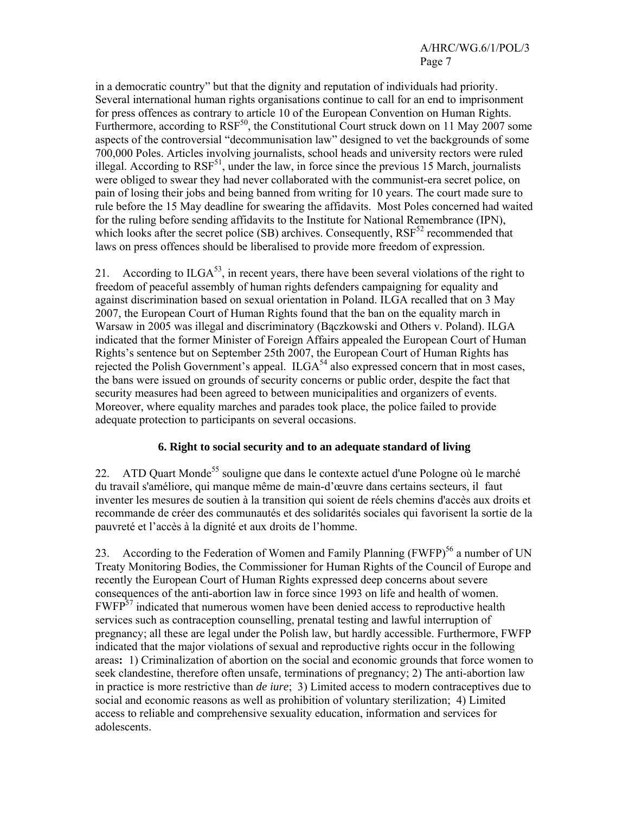# A/HRC/WG.6/1/POL/3 Page 7

in a democratic country" but that the dignity and reputation of individuals had priority. Several international human rights organisations continue to call for an end to imprisonment for press offences as contrary to article 10 of the European Convention on Human Rights. Furthermore, according to  $RSF^{50}$ , the Constitutional Court struck down on 11 May 2007 some aspects of the controversial "decommunisation law" designed to vet the backgrounds of some 700,000 Poles. Articles involving journalists, school heads and university rectors were ruled illegal. According to  $RSF^{51}$ , under the law, in force since the previous 15 March, journalists were obliged to swear they had never collaborated with the communist-era secret police, on pain of losing their jobs and being banned from writing for 10 years. The court made sure to rule before the 15 May deadline for swearing the affidavits. Most Poles concerned had waited for the ruling before sending affidavits to the Institute for National Remembrance (IPN), which looks after the secret police (SB) archives. Consequently,  $RSF<sup>52</sup>$  recommended that laws on press offences should be liberalised to provide more freedom of expression.

21. According to  $ILGA^{53}$ , in recent years, there have been several violations of the right to freedom of peaceful assembly of human rights defenders campaigning for equality and against discrimination based on sexual orientation in Poland. ILGA recalled that on 3 May 2007, the European Court of Human Rights found that the ban on the equality march in Warsaw in 2005 was illegal and discriminatory (Bączkowski and Others v. Poland). ILGA indicated that the former Minister of Foreign Affairs appealed the European Court of Human Rights's sentence but on September 25th 2007, the European Court of Human Rights has rejected the Polish Government's appeal.  $ILGA<sup>54</sup>$  also expressed concern that in most cases, the bans were issued on grounds of security concerns or public order, despite the fact that security measures had been agreed to between municipalities and organizers of events. Moreover, where equality marches and parades took place, the police failed to provide adequate protection to participants on several occasions.

# **6. Right to social security and to an adequate standard of living**

22. ATD Quart Monde<sup>55</sup> souligne que dans le contexte actuel d'une Pologne où le marché du travail s'améliore, qui manque même de main-d'œuvre dans certains secteurs, il faut inventer les mesures de soutien à la transition qui soient de réels chemins d'accès aux droits et recommande de créer des communautés et des solidarités sociales qui favorisent la sortie de la pauvreté et l'accès à la dignité et aux droits de l'homme.

23. According to the Federation of Women and Family Planning  $(FWFP)^{56}$  a number of UN Treaty Monitoring Bodies, the Commissioner for Human Rights of the Council of Europe and recently the European Court of Human Rights expressed deep concerns about severe consequences of the anti-abortion law in force since 1993 on life and health of women. FWFP<sup>57</sup> indicated that numerous women have been denied access to reproductive health services such as contraception counselling, prenatal testing and lawful interruption of pregnancy; all these are legal under the Polish law, but hardly accessible. Furthermore, FWFP indicated that the major violations of sexual and reproductive rights occur in the following areas**:** 1) Criminalization of abortion on the social and economic grounds that force women to seek clandestine, therefore often unsafe, terminations of pregnancy; 2) The anti-abortion law in practice is more restrictive than *de iure*; 3) Limited access to modern contraceptives due to social and economic reasons as well as prohibition of voluntary sterilization; 4) Limited access to reliable and comprehensive sexuality education, information and services for adolescents.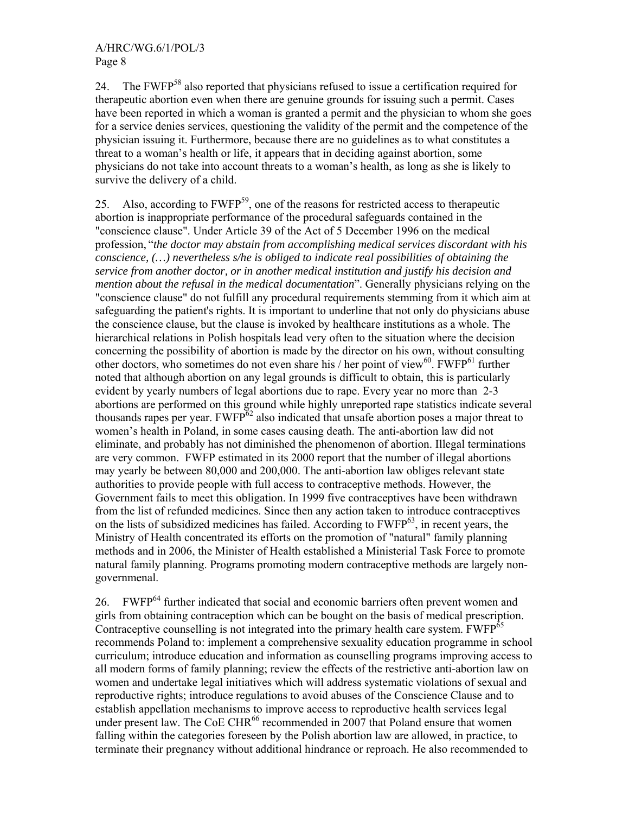24. The FWFP<sup>58</sup> also reported that physicians refused to issue a certification required for therapeutic abortion even when there are genuine grounds for issuing such a permit. Cases have been reported in which a woman is granted a permit and the physician to whom she goes for a service denies services, questioning the validity of the permit and the competence of the physician issuing it. Furthermore, because there are no guidelines as to what constitutes a threat to a woman's health or life, it appears that in deciding against abortion, some physicians do not take into account threats to a woman's health, as long as she is likely to survive the delivery of a child.

25. Also, according to FWFP<sup>59</sup>, one of the reasons for restricted access to therapeutic abortion is inappropriate performance of the procedural safeguards contained in the "conscience clause". Under Article 39 of the Act of 5 December 1996 on the medical profession, "*the doctor may abstain from accomplishing medical services discordant with his conscience, (…) nevertheless s/he is obliged to indicate real possibilities of obtaining the service from another doctor, or in another medical institution and justify his decision and mention about the refusal in the medical documentation*". Generally physicians relying on the "conscience clause" do not fulfill any procedural requirements stemming from it which aim at safeguarding the patient's rights. It is important to underline that not only do physicians abuse the conscience clause, but the clause is invoked by healthcare institutions as a whole. The hierarchical relations in Polish hospitals lead very often to the situation where the decision concerning the possibility of abortion is made by the director on his own, without consulting other doctors, who sometimes do not even share his / her point of view $^{60}$ . FWFP $^{61}$  further noted that although abortion on any legal grounds is difficult to obtain, this is particularly evident by yearly numbers of legal abortions due to rape. Every year no more than 2-3 abortions are performed on this ground while highly unreported rape statistics indicate several thousands rapes per year.  $FWFP^{62}$  also indicated that unsafe abortion poses a major threat to women's health in Poland, in some cases causing death. The anti-abortion law did not eliminate, and probably has not diminished the phenomenon of abortion. Illegal terminations are very common. FWFP estimated in its 2000 report that the number of illegal abortions may yearly be between 80,000 and 200,000. The anti-abortion law obliges relevant state authorities to provide people with full access to contraceptive methods. However, the Government fails to meet this obligation. In 1999 five contraceptives have been withdrawn from the list of refunded medicines. Since then any action taken to introduce contraceptives on the lists of subsidized medicines has failed. According to  $FWFP^{63}$ , in recent years, the Ministry of Health concentrated its efforts on the promotion of "natural" family planning methods and in 2006, the Minister of Health established a Ministerial Task Force to promote natural family planning. Programs promoting modern contraceptive methods are largely nongovernmenal.

26. FWFP64 further indicated that social and economic barriers often prevent women and girls from obtaining contraception which can be bought on the basis of medical prescription. Contraceptive counselling is not integrated into the primary health care system. FWFP<sup>65</sup> recommends Poland to: implement a comprehensive sexuality education programme in school curriculum; introduce education and information as counselling programs improving access to all modern forms of family planning; review the effects of the restrictive anti-abortion law on women and undertake legal initiatives which will address systematic violations of sexual and reproductive rights; introduce regulations to avoid abuses of the Conscience Clause and to establish appellation mechanisms to improve access to reproductive health services legal under present law. The CoE CHR $^{66}$  recommended in 2007 that Poland ensure that women falling within the categories foreseen by the Polish abortion law are allowed, in practice, to terminate their pregnancy without additional hindrance or reproach. He also recommended to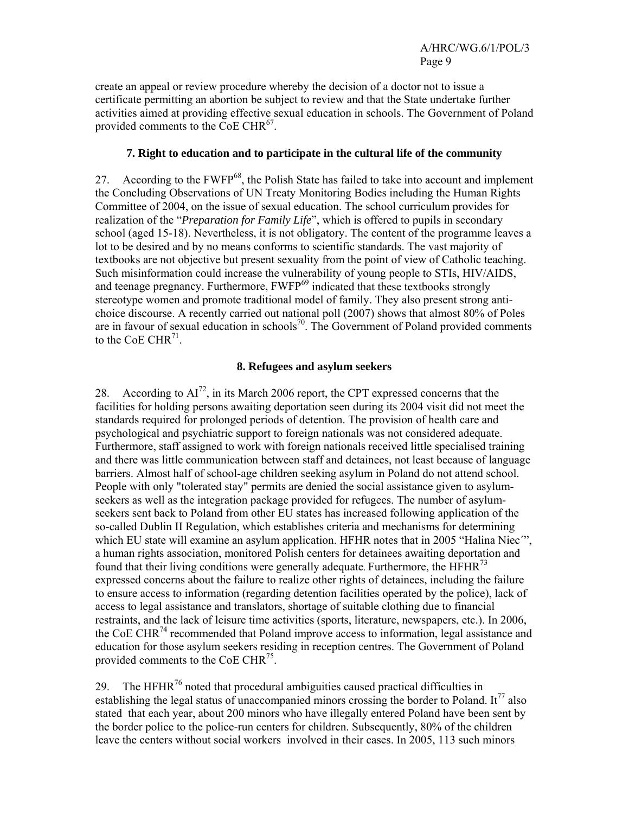create an appeal or review procedure whereby the decision of a doctor not to issue a certificate permitting an abortion be subject to review and that the State undertake further activities aimed at providing effective sexual education in schools. The Government of Poland provided comments to the CoE CHR<sup>67</sup>.

## **7. Right to education and to participate in the cultural life of the community**

27. According to the FWFP<sup>68</sup>, the Polish State has failed to take into account and implement the Concluding Observations of UN Treaty Monitoring Bodies including the Human Rights Committee of 2004, on the issue of sexual education. The school curriculum provides for realization of the "*Preparation for Family Life*", which is offered to pupils in secondary school (aged 15-18). Nevertheless, it is not obligatory. The content of the programme leaves a lot to be desired and by no means conforms to scientific standards. The vast majority of textbooks are not objective but present sexuality from the point of view of Catholic teaching. Such misinformation could increase the vulnerability of young people to STIs, HIV/AIDS, and teenage pregnancy. Furthermore, FWFP<sup>69</sup> indicated that these textbooks strongly stereotype women and promote traditional model of family. They also present strong antichoice discourse. A recently carried out national poll (2007) shows that almost 80% of Poles are in favour of sexual education in schools<sup>70</sup>. The Government of Poland provided comments to the CoE CHR $^{71}$ .

## **8. Refugees and asylum seekers**

28. According to  $AI^{72}$ , in its March 2006 report, the CPT expressed concerns that the facilities for holding persons awaiting deportation seen during its 2004 visit did not meet the standards required for prolonged periods of detention. The provision of health care and psychological and psychiatric support to foreign nationals was not considered adequate. Furthermore, staff assigned to work with foreign nationals received little specialised training and there was little communication between staff and detainees, not least because of language barriers. Almost half of school-age children seeking asylum in Poland do not attend school. People with only "tolerated stay" permits are denied the social assistance given to asylumseekers as well as the integration package provided for refugees. The number of asylumseekers sent back to Poland from other EU states has increased following application of the so-called Dublin II Regulation, which establishes criteria and mechanisms for determining which EU state will examine an asylum application. HFHR notes that in 2005 "Halina Niec"', a human rights association, monitored Polish centers for detainees awaiting deportation and found that their living conditions were generally adequate. Furthermore, the  $HFHR<sup>73</sup>$ expressed concerns about the failure to realize other rights of detainees, including the failure to ensure access to information (regarding detention facilities operated by the police), lack of access to legal assistance and translators, shortage of suitable clothing due to financial restraints, and the lack of leisure time activities (sports, literature, newspapers, etc.). In 2006, the CoE CHR<sup>74</sup> recommended that Poland improve access to information, legal assistance and education for those asylum seekers residing in reception centres. The Government of Poland provided comments to the CoE CHR $^{75}$ .

29. The HFHR<sup>76</sup> noted that procedural ambiguities caused practical difficulties in establishing the legal status of unaccompanied minors crossing the border to Poland. It<sup>77</sup> also stated that each year, about 200 minors who have illegally entered Poland have been sent by the border police to the police-run centers for children. Subsequently, 80% of the children leave the centers without social workers involved in their cases. In 2005, 113 such minors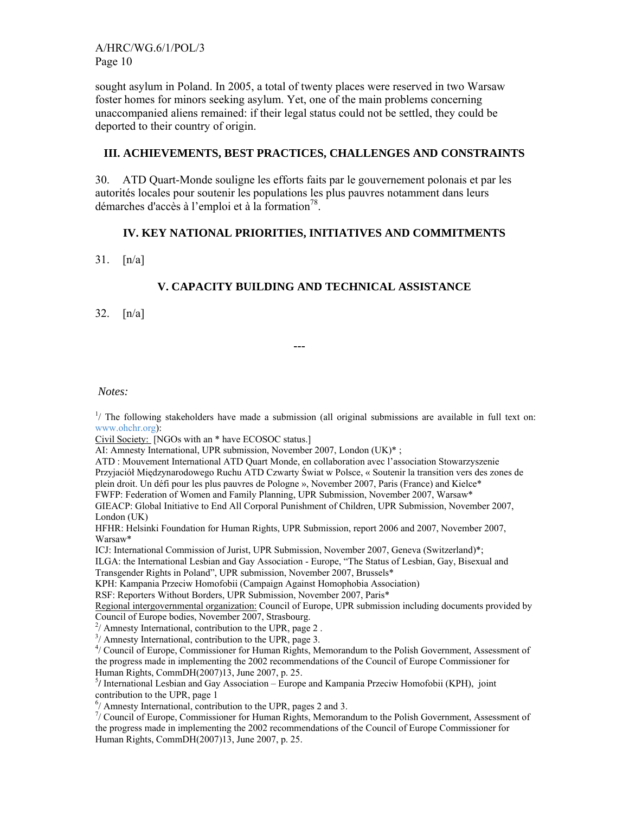A/HRC/WG.6/1/POL/3 Page 10

sought asylum in Poland. In 2005, a total of twenty places were reserved in two Warsaw foster homes for minors seeking asylum. Yet, one of the main problems concerning unaccompanied aliens remained: if their legal status could not be settled, they could be deported to their country of origin.

#### **III. ACHIEVEMENTS, BEST PRACTICES, CHALLENGES AND CONSTRAINTS**

30. ATD Quart-Monde souligne les efforts faits par le gouvernement polonais et par les autorités locales pour soutenir les populations les plus pauvres notamment dans leurs démarches d'accès à l'emploi et à la formation<sup>78</sup>.

#### **IV. KEY NATIONAL PRIORITIES, INITIATIVES AND COMMITMENTS**

31. [n/a]

## **V. CAPACITY BUILDING AND TECHNICAL ASSISTANCE**

**---** 

32. [n/a]

 *Notes:* 

<sup>1</sup>/ The following stakeholders have made a submission (all original submissions are available in full text on: www.ohchr.org):

Civil Society: [NGOs with an \* have ECOSOC status.]

AI: Amnesty International, UPR submission, November 2007, London (UK)\*;

ATD : Mouvement International ATD Quart Monde, en collaboration avec l'association Stowarzyszenie Przyjaciół Międzynarodowego Ruchu ATD Czwarty Świat w Polsce, « Soutenir la transition vers des zones de plein droit. Un défi pour les plus pauvres de Pologne », November 2007, Paris (France) and Kielce\* FWFP: Federation of Women and Family Planning, UPR Submission, November 2007, Warsaw\* GIEACP: Global Initiative to End All Corporal Punishment of Children, UPR Submission, November 2007,

London (UK) HFHR: Helsinki Foundation for Human Rights, UPR Submission, report 2006 and 2007, November 2007, Warsaw\*

ICJ: International Commission of Jurist, UPR Submission, November 2007, Geneva (Switzerland)\*;

ILGA: the International Lesbian and Gay Association - Europe, "The Status of Lesbian, Gay, Bisexual and Transgender Rights in Poland", UPR submission, November 2007, Brussels\*

KPH: Kampania Przeciw Homofobii (Campaign Against Homophobia Association)

RSF: Reporters Without Borders, UPR Submission, November 2007, Paris\*

Regional intergovernmental organization: Council of Europe, UPR submission including documents provided by

Council of Europe bodies, November 2007, Strasbourg. 2 / Amnesty International, contribution to the UPR, page 2 .

<sup>3</sup>/ Amnesty International, contribution to the UPR, page 3.

4 / Council of Europe, Commissioner for Human Rights, Memorandum to the Polish Government, Assessment of the progress made in implementing the 2002 recommendations of the Council of Europe Commissioner for Human Rights, CommDH(2007)13, June 2007, p. 25.

<sup>5</sup>/ International Lesbian and Gay Association – Europe and Kampania Przeciw Homofobii (KPH), joint

contribution to the UPR, page 1 6 / Amnesty International, contribution to the UPR, pages 2 and 3.

7 / Council of Europe, Commissioner for Human Rights, Memorandum to the Polish Government, Assessment of the progress made in implementing the 2002 recommendations of the Council of Europe Commissioner for Human Rights, CommDH(2007)13, June 2007, p. 25.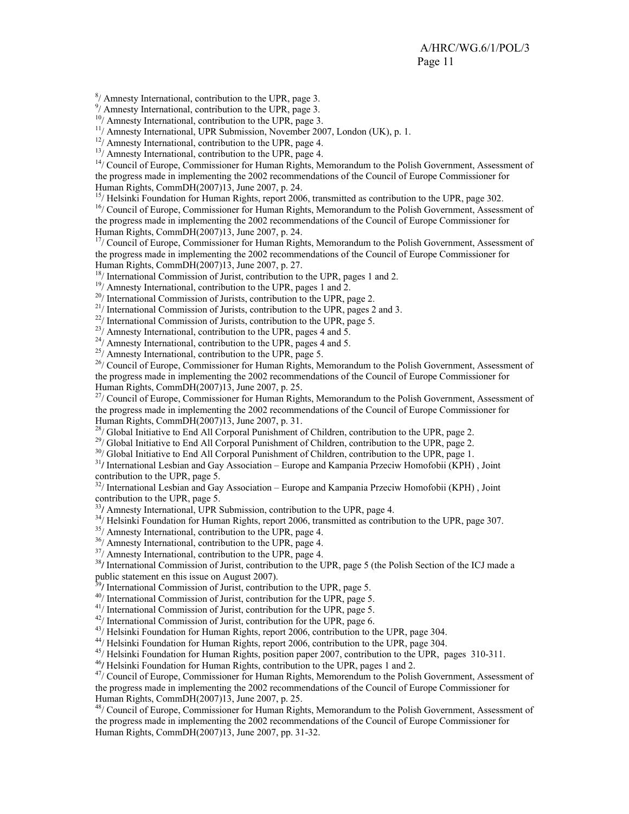8 / Amnesty International, contribution to the UPR, page 3.

9 / Amnesty International, contribution to the UPR, page 3.

<sup>10</sup>/ Amnesty International, contribution to the UPR, page 3.

<sup>11</sup>/ Amnesty International, UPR Submission, November 2007, London (UK), p. 1.

 $12/$  Amnesty International, contribution to the UPR, page 4.

 $13/$  Amnesty International, contribution to the UPR, page 4.

<sup>14</sup>/ Council of Europe, Commissioner for Human Rights, Memorandum to the Polish Government, Assessment of the progress made in implementing the 2002 recommendations of the Council of Europe Commissioner for Human Rights, CommDH(2007)13, June 2007, p. 24.

<sup>15</sup>/ Helsinki Foundation for Human Rights, report 2006, transmitted as contribution to the UPR, page 302. <sup>16</sup>/ Council of Europe, Commissioner for Human Rights, Memorandum to the Polish Government, Assessment of the progress made in implementing the 2002 recommendations of the Council of Europe Commissioner for

Human Rights, CommDH(2007)13, June 2007, p. 24.

<sup>17</sup>/ Council of Europe, Commissioner for Human Rights, Memorandum to the Polish Government, Assessment of the progress made in implementing the 2002 recommendations of the Council of Europe Commissioner for Human Rights, CommDH(2007)13, June 2007, p. 27.

<sup>18</sup>/ International Commission of Jurist, contribution to the UPR, pages 1 and 2.

 $19/$  Amnesty International, contribution to the UPR, pages 1 and 2.

 $20/$  International Commission of Jurists, contribution to the UPR, page 2.

<sup>21</sup>/ International Commission of Jurists, contribution to the UPR, pages 2 and 3.

<sup>22</sup>/ International Commission of Jurists, contribution to the UPR, page 5.

 $2^{23}$ / Amnesty International, contribution to the UPR, pages 4 and 5.

 $^{24}$ / Amnesty International, contribution to the UPR, pages 4 and 5.

25/ Amnesty International, contribution to the UPR, page 5.

<sup>26</sup>/ Council of Europe, Commissioner for Human Rights, Memorandum to the Polish Government, Assessment of the progress made in implementing the 2002 recommendations of the Council of Europe Commissioner for Human Rights, CommDH(2007)13, June 2007, p. 25.

<sup>27</sup>/ Council of Europe, Commissioner for Human Rights, Memorandum to the Polish Government, Assessment of the progress made in implementing the 2002 recommendations of the Council of Europe Commissioner for Human Rights, CommDH(2007)13, June 2007, p. 31.

<sup>28</sup>/ Global Initiative to End All Corporal Punishment of Children, contribution to the UPR, page 2.

<sup>29</sup>/ Global Initiative to End All Corporal Punishment of Children, contribution to the UPR, page 2.

<sup>30</sup>/ Global Initiative to End All Corporal Punishment of Children, contribution to the UPR, page 1.

<sup>31</sup>**/** International Lesbian and Gay Association – Europe and Kampania Przeciw Homofobii (KPH) , Joint contribution to the UPR, page 5.

<sup>32</sup>/ International Lesbian and Gay Association – Europe and Kampania Przeciw Homofobii (KPH), Joint contribution to the UPR, page 5.<br><sup>33</sup>/ Amnesty International, UPR Submission, contribution to the UPR, page 4.

<sup>34</sup>/ Helsinki Foundation for Human Rights, report 2006, transmitted as contribution to the UPR, page 307.

 $35/$  Amnesty International, contribution to the UPR, page 4.

36/ Amnesty International, contribution to the UPR, page 4.

 $37/$  Amnesty International, contribution to the UPR, page 4.

<sup>38</sup>/ International Commission of Jurist, contribution to the UPR, page 5 (the Polish Section of the ICJ made a public statement en this issue on August 2007).

<sup>39</sup>/ International Commission of Jurist, contribution to the UPR, page 5.<br><sup>40</sup>/ International Commission of Jurist, contribution for the UPR, page 5.

<sup>41</sup>/ International Commission of Jurist, contribution for the UPR, page 5.

 $42/$  International Commission of Jurist, contribution for the UPR, page 6.

<sup>43</sup>/ Helsinki Foundation for Human Rights, report 2006, contribution to the UPR, page 304.

44/ Helsinki Foundation for Human Rights, report 2006, contribution to the UPR, page 304.

 $45$ / Helsinki Foundation for Human Rights, position paper 2007, contribution to the UPR, pages 310-311.<br> $46$ / Helsinki Foundation for Human Rights, contribution to the UPR, pages 1 and 2.

<sup>47</sup>/ Council of Europe, Commissioner for Human Rights, Memorendum to the Polish Government, Assessment of the progress made in implementing the 2002 recommendations of the Council of Europe Commissioner for Human Rights, CommDH(2007)13, June 2007, p. 25.

48/ Council of Europe, Commissioner for Human Rights, Memorandum to the Polish Government, Assessment of the progress made in implementing the 2002 recommendations of the Council of Europe Commissioner for Human Rights, CommDH(2007)13, June 2007, pp. 31-32.